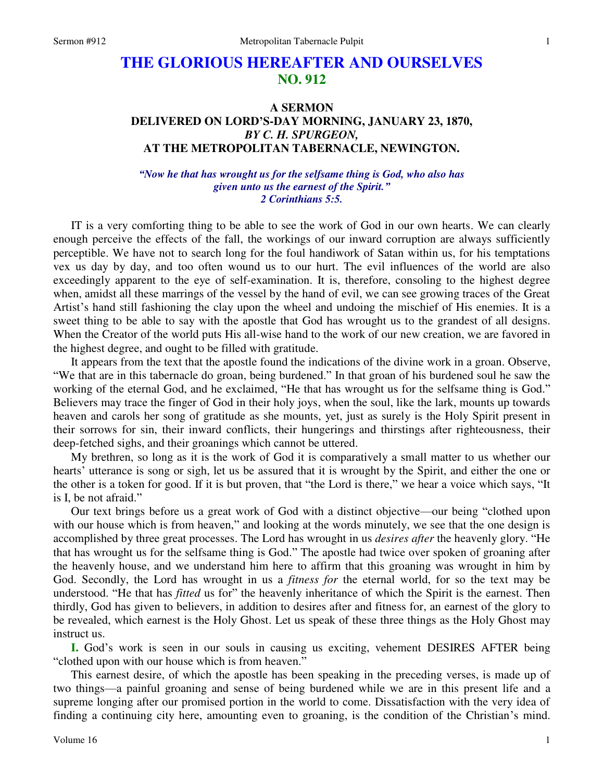## **THE GLORIOUS HEREAFTER AND OURSELVES NO. 912**

## **A SERMON DELIVERED ON LORD'S-DAY MORNING, JANUARY 23, 1870,**  *BY C. H. SPURGEON,*  **AT THE METROPOLITAN TABERNACLE, NEWINGTON.**

## *"Now he that has wrought us for the selfsame thing is God, who also has given unto us the earnest of the Spirit." 2 Corinthians 5:5.*

IT is a very comforting thing to be able to see the work of God in our own hearts. We can clearly enough perceive the effects of the fall, the workings of our inward corruption are always sufficiently perceptible. We have not to search long for the foul handiwork of Satan within us, for his temptations vex us day by day, and too often wound us to our hurt. The evil influences of the world are also exceedingly apparent to the eye of self-examination. It is, therefore, consoling to the highest degree when, amidst all these marrings of the vessel by the hand of evil, we can see growing traces of the Great Artist's hand still fashioning the clay upon the wheel and undoing the mischief of His enemies. It is a sweet thing to be able to say with the apostle that God has wrought us to the grandest of all designs. When the Creator of the world puts His all-wise hand to the work of our new creation, we are favored in the highest degree, and ought to be filled with gratitude.

It appears from the text that the apostle found the indications of the divine work in a groan. Observe, "We that are in this tabernacle do groan, being burdened." In that groan of his burdened soul he saw the working of the eternal God, and he exclaimed, "He that has wrought us for the selfsame thing is God." Believers may trace the finger of God in their holy joys, when the soul, like the lark, mounts up towards heaven and carols her song of gratitude as she mounts, yet, just as surely is the Holy Spirit present in their sorrows for sin, their inward conflicts, their hungerings and thirstings after righteousness, their deep-fetched sighs, and their groanings which cannot be uttered.

My brethren, so long as it is the work of God it is comparatively a small matter to us whether our hearts' utterance is song or sigh, let us be assured that it is wrought by the Spirit, and either the one or the other is a token for good. If it is but proven, that "the Lord is there," we hear a voice which says, "It is I, be not afraid."

Our text brings before us a great work of God with a distinct objective—our being "clothed upon with our house which is from heaven," and looking at the words minutely, we see that the one design is accomplished by three great processes. The Lord has wrought in us *desires after* the heavenly glory. "He that has wrought us for the selfsame thing is God." The apostle had twice over spoken of groaning after the heavenly house, and we understand him here to affirm that this groaning was wrought in him by God. Secondly, the Lord has wrought in us a *fitness for* the eternal world, for so the text may be understood. "He that has *fitted* us for" the heavenly inheritance of which the Spirit is the earnest. Then thirdly, God has given to believers, in addition to desires after and fitness for, an earnest of the glory to be revealed, which earnest is the Holy Ghost. Let us speak of these three things as the Holy Ghost may instruct us.

**I.** God's work is seen in our souls in causing us exciting, vehement DESIRES AFTER being "clothed upon with our house which is from heaven."

This earnest desire, of which the apostle has been speaking in the preceding verses, is made up of two things—a painful groaning and sense of being burdened while we are in this present life and a supreme longing after our promised portion in the world to come. Dissatisfaction with the very idea of finding a continuing city here, amounting even to groaning, is the condition of the Christian's mind.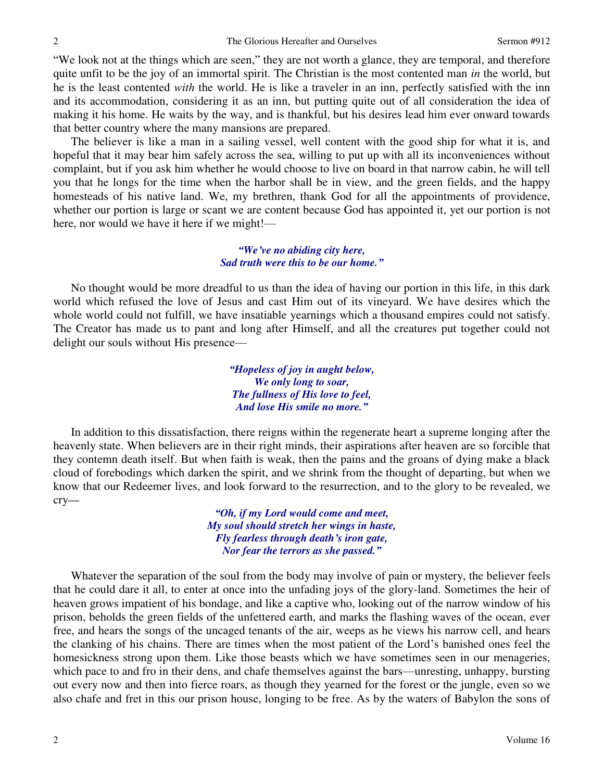"We look not at the things which are seen," they are not worth a glance, they are temporal, and therefore quite unfit to be the joy of an immortal spirit. The Christian is the most contented man *in* the world, but he is the least contented *with* the world. He is like a traveler in an inn, perfectly satisfied with the inn and its accommodation, considering it as an inn, but putting quite out of all consideration the idea of making it his home. He waits by the way, and is thankful, but his desires lead him ever onward towards that better country where the many mansions are prepared.

The believer is like a man in a sailing vessel, well content with the good ship for what it is, and hopeful that it may bear him safely across the sea, willing to put up with all its inconveniences without complaint, but if you ask him whether he would choose to live on board in that narrow cabin, he will tell you that he longs for the time when the harbor shall be in view, and the green fields, and the happy homesteads of his native land. We, my brethren, thank God for all the appointments of providence, whether our portion is large or scant we are content because God has appointed it, yet our portion is not here, nor would we have it here if we might!—

> *"We've no abiding city here, Sad truth were this to be our home."*

No thought would be more dreadful to us than the idea of having our portion in this life, in this dark world which refused the love of Jesus and cast Him out of its vineyard. We have desires which the whole world could not fulfill, we have insatiable yearnings which a thousand empires could not satisfy. The Creator has made us to pant and long after Himself, and all the creatures put together could not delight our souls without His presence—

> *"Hopeless of joy in aught below, We only long to soar, The fullness of His love to feel, And lose His smile no more."*

In addition to this dissatisfaction, there reigns within the regenerate heart a supreme longing after the heavenly state. When believers are in their right minds, their aspirations after heaven are so forcible that they contemn death itself. But when faith is weak, then the pains and the groans of dying make a black cloud of forebodings which darken the spirit, and we shrink from the thought of departing, but when we know that our Redeemer lives, and look forward to the resurrection, and to the glory to be revealed, we cry*—*

> *"Oh, if my Lord would come and meet, My soul should stretch her wings in haste, Fly fearless through death's iron gate, Nor fear the terrors as she passed."*

Whatever the separation of the soul from the body may involve of pain or mystery, the believer feels that he could dare it all, to enter at once into the unfading joys of the glory-land. Sometimes the heir of heaven grows impatient of his bondage, and like a captive who, looking out of the narrow window of his prison, beholds the green fields of the unfettered earth, and marks the flashing waves of the ocean, ever free, and hears the songs of the uncaged tenants of the air, weeps as he views his narrow cell, and hears the clanking of his chains. There are times when the most patient of the Lord's banished ones feel the homesickness strong upon them. Like those beasts which we have sometimes seen in our menageries, which pace to and fro in their dens, and chafe themselves against the bars—unresting, unhappy, bursting out every now and then into fierce roars, as though they yearned for the forest or the jungle, even so we also chafe and fret in this our prison house, longing to be free. As by the waters of Babylon the sons of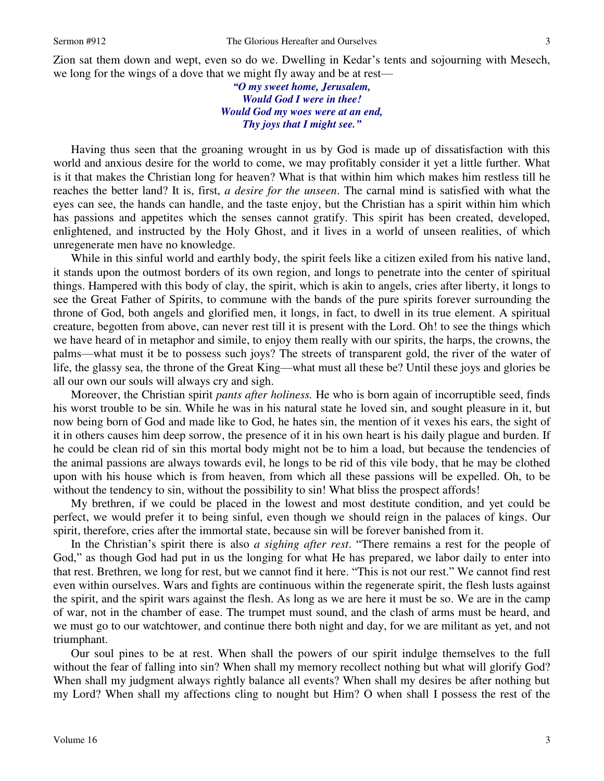*"O my sweet home, Jerusalem, Would God I were in thee! Would God my woes were at an end, Thy joys that I might see."*

Having thus seen that the groaning wrought in us by God is made up of dissatisfaction with this world and anxious desire for the world to come, we may profitably consider it yet a little further. What is it that makes the Christian long for heaven? What is that within him which makes him restless till he reaches the better land? It is, first, *a desire for the unseen*. The carnal mind is satisfied with what the eyes can see, the hands can handle, and the taste enjoy, but the Christian has a spirit within him which has passions and appetites which the senses cannot gratify. This spirit has been created, developed, enlightened, and instructed by the Holy Ghost, and it lives in a world of unseen realities, of which unregenerate men have no knowledge.

While in this sinful world and earthly body, the spirit feels like a citizen exiled from his native land, it stands upon the outmost borders of its own region, and longs to penetrate into the center of spiritual things. Hampered with this body of clay, the spirit, which is akin to angels, cries after liberty, it longs to see the Great Father of Spirits, to commune with the bands of the pure spirits forever surrounding the throne of God, both angels and glorified men, it longs, in fact, to dwell in its true element. A spiritual creature, begotten from above, can never rest till it is present with the Lord. Oh! to see the things which we have heard of in metaphor and simile, to enjoy them really with our spirits, the harps, the crowns, the palms—what must it be to possess such joys? The streets of transparent gold, the river of the water of life, the glassy sea, the throne of the Great King—what must all these be? Until these joys and glories be all our own our souls will always cry and sigh.

Moreover, the Christian spirit *pants after holiness.* He who is born again of incorruptible seed, finds his worst trouble to be sin. While he was in his natural state he loved sin, and sought pleasure in it, but now being born of God and made like to God, he hates sin, the mention of it vexes his ears, the sight of it in others causes him deep sorrow, the presence of it in his own heart is his daily plague and burden. If he could be clean rid of sin this mortal body might not be to him a load, but because the tendencies of the animal passions are always towards evil, he longs to be rid of this vile body, that he may be clothed upon with his house which is from heaven, from which all these passions will be expelled. Oh, to be without the tendency to sin, without the possibility to sin! What bliss the prospect affords!

My brethren, if we could be placed in the lowest and most destitute condition, and yet could be perfect, we would prefer it to being sinful, even though we should reign in the palaces of kings. Our spirit, therefore, cries after the immortal state, because sin will be forever banished from it.

In the Christian's spirit there is also *a sighing after rest*. "There remains a rest for the people of God," as though God had put in us the longing for what He has prepared, we labor daily to enter into that rest. Brethren, we long for rest, but we cannot find it here. "This is not our rest." We cannot find rest even within ourselves. Wars and fights are continuous within the regenerate spirit, the flesh lusts against the spirit, and the spirit wars against the flesh. As long as we are here it must be so. We are in the camp of war, not in the chamber of ease. The trumpet must sound, and the clash of arms must be heard, and we must go to our watchtower, and continue there both night and day, for we are militant as yet, and not triumphant.

Our soul pines to be at rest. When shall the powers of our spirit indulge themselves to the full without the fear of falling into sin? When shall my memory recollect nothing but what will glorify God? When shall my judgment always rightly balance all events? When shall my desires be after nothing but my Lord? When shall my affections cling to nought but Him? O when shall I possess the rest of the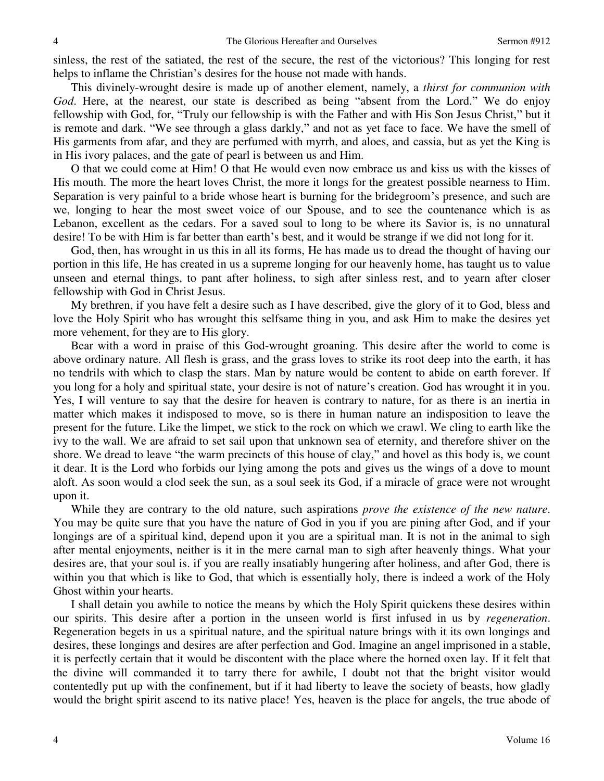sinless, the rest of the satiated, the rest of the secure, the rest of the victorious? This longing for rest helps to inflame the Christian's desires for the house not made with hands.

This divinely-wrought desire is made up of another element, namely, a *thirst for communion with God*. Here, at the nearest, our state is described as being "absent from the Lord." We do enjoy fellowship with God, for, "Truly our fellowship is with the Father and with His Son Jesus Christ," but it is remote and dark. "We see through a glass darkly," and not as yet face to face. We have the smell of His garments from afar, and they are perfumed with myrrh, and aloes, and cassia, but as yet the King is in His ivory palaces, and the gate of pearl is between us and Him.

O that we could come at Him! O that He would even now embrace us and kiss us with the kisses of His mouth. The more the heart loves Christ, the more it longs for the greatest possible nearness to Him. Separation is very painful to a bride whose heart is burning for the bridegroom's presence, and such are we, longing to hear the most sweet voice of our Spouse, and to see the countenance which is as Lebanon, excellent as the cedars. For a saved soul to long to be where its Savior is, is no unnatural desire! To be with Him is far better than earth's best, and it would be strange if we did not long for it.

God, then, has wrought in us this in all its forms, He has made us to dread the thought of having our portion in this life, He has created in us a supreme longing for our heavenly home, has taught us to value unseen and eternal things, to pant after holiness, to sigh after sinless rest, and to yearn after closer fellowship with God in Christ Jesus.

My brethren, if you have felt a desire such as I have described, give the glory of it to God, bless and love the Holy Spirit who has wrought this selfsame thing in you, and ask Him to make the desires yet more vehement, for they are to His glory.

Bear with a word in praise of this God-wrought groaning. This desire after the world to come is above ordinary nature. All flesh is grass, and the grass loves to strike its root deep into the earth, it has no tendrils with which to clasp the stars. Man by nature would be content to abide on earth forever. If you long for a holy and spiritual state, your desire is not of nature's creation. God has wrought it in you. Yes, I will venture to say that the desire for heaven is contrary to nature, for as there is an inertia in matter which makes it indisposed to move, so is there in human nature an indisposition to leave the present for the future. Like the limpet, we stick to the rock on which we crawl. We cling to earth like the ivy to the wall. We are afraid to set sail upon that unknown sea of eternity, and therefore shiver on the shore. We dread to leave "the warm precincts of this house of clay," and hovel as this body is, we count it dear. It is the Lord who forbids our lying among the pots and gives us the wings of a dove to mount aloft. As soon would a clod seek the sun, as a soul seek its God, if a miracle of grace were not wrought upon it.

While they are contrary to the old nature, such aspirations *prove the existence of the new nature*. You may be quite sure that you have the nature of God in you if you are pining after God, and if your longings are of a spiritual kind, depend upon it you are a spiritual man. It is not in the animal to sigh after mental enjoyments, neither is it in the mere carnal man to sigh after heavenly things. What your desires are, that your soul is. if you are really insatiably hungering after holiness, and after God, there is within you that which is like to God, that which is essentially holy, there is indeed a work of the Holy Ghost within your hearts.

I shall detain you awhile to notice the means by which the Holy Spirit quickens these desires within our spirits. This desire after a portion in the unseen world is first infused in us by *regeneration*. Regeneration begets in us a spiritual nature, and the spiritual nature brings with it its own longings and desires, these longings and desires are after perfection and God. Imagine an angel imprisoned in a stable, it is perfectly certain that it would be discontent with the place where the horned oxen lay. If it felt that the divine will commanded it to tarry there for awhile, I doubt not that the bright visitor would contentedly put up with the confinement, but if it had liberty to leave the society of beasts, how gladly would the bright spirit ascend to its native place! Yes, heaven is the place for angels, the true abode of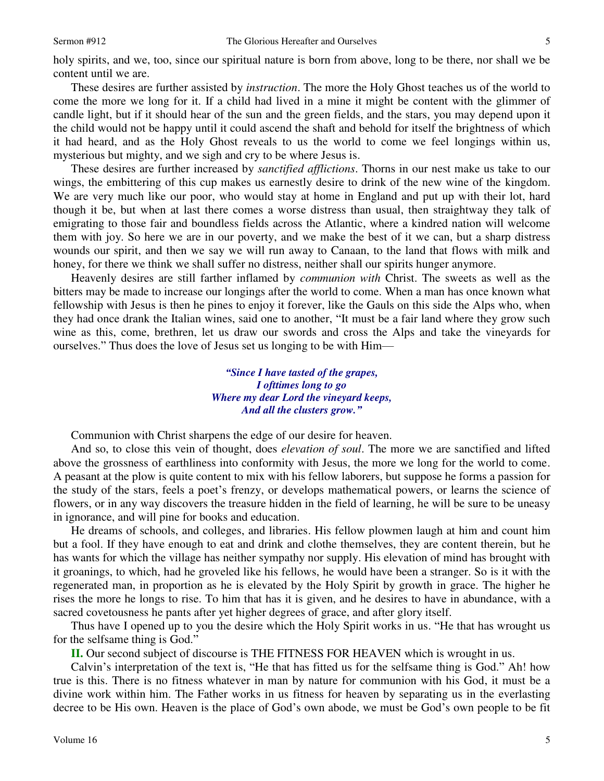holy spirits, and we, too, since our spiritual nature is born from above, long to be there, nor shall we be content until we are.

These desires are further assisted by *instruction*. The more the Holy Ghost teaches us of the world to come the more we long for it. If a child had lived in a mine it might be content with the glimmer of candle light, but if it should hear of the sun and the green fields, and the stars, you may depend upon it the child would not be happy until it could ascend the shaft and behold for itself the brightness of which it had heard, and as the Holy Ghost reveals to us the world to come we feel longings within us, mysterious but mighty, and we sigh and cry to be where Jesus is.

These desires are further increased by *sanctified afflictions*. Thorns in our nest make us take to our wings, the embittering of this cup makes us earnestly desire to drink of the new wine of the kingdom. We are very much like our poor, who would stay at home in England and put up with their lot, hard though it be, but when at last there comes a worse distress than usual, then straightway they talk of emigrating to those fair and boundless fields across the Atlantic, where a kindred nation will welcome them with joy. So here we are in our poverty, and we make the best of it we can, but a sharp distress wounds our spirit, and then we say we will run away to Canaan, to the land that flows with milk and honey, for there we think we shall suffer no distress, neither shall our spirits hunger anymore.

Heavenly desires are still farther inflamed by *communion with* Christ. The sweets as well as the bitters may be made to increase our longings after the world to come. When a man has once known what fellowship with Jesus is then he pines to enjoy it forever, like the Gauls on this side the Alps who, when they had once drank the Italian wines, said one to another, "It must be a fair land where they grow such wine as this, come, brethren, let us draw our swords and cross the Alps and take the vineyards for ourselves." Thus does the love of Jesus set us longing to be with Him—

> *"Since I have tasted of the grapes, I ofttimes long to go Where my dear Lord the vineyard keeps, And all the clusters grow."*

Communion with Christ sharpens the edge of our desire for heaven.

And so, to close this vein of thought, does *elevation of soul*. The more we are sanctified and lifted above the grossness of earthliness into conformity with Jesus, the more we long for the world to come. A peasant at the plow is quite content to mix with his fellow laborers, but suppose he forms a passion for the study of the stars, feels a poet's frenzy, or develops mathematical powers, or learns the science of flowers, or in any way discovers the treasure hidden in the field of learning, he will be sure to be uneasy in ignorance, and will pine for books and education.

He dreams of schools, and colleges, and libraries. His fellow plowmen laugh at him and count him but a fool. If they have enough to eat and drink and clothe themselves, they are content therein, but he has wants for which the village has neither sympathy nor supply. His elevation of mind has brought with it groanings, to which, had he groveled like his fellows, he would have been a stranger. So is it with the regenerated man, in proportion as he is elevated by the Holy Spirit by growth in grace. The higher he rises the more he longs to rise. To him that has it is given, and he desires to have in abundance, with a sacred covetousness he pants after yet higher degrees of grace, and after glory itself.

Thus have I opened up to you the desire which the Holy Spirit works in us. "He that has wrought us for the selfsame thing is God."

**II.** Our second subject of discourse is THE FITNESS FOR HEAVEN which is wrought in us.

Calvin's interpretation of the text is, "He that has fitted us for the selfsame thing is God." Ah! how true is this. There is no fitness whatever in man by nature for communion with his God, it must be a divine work within him. The Father works in us fitness for heaven by separating us in the everlasting decree to be His own. Heaven is the place of God's own abode, we must be God's own people to be fit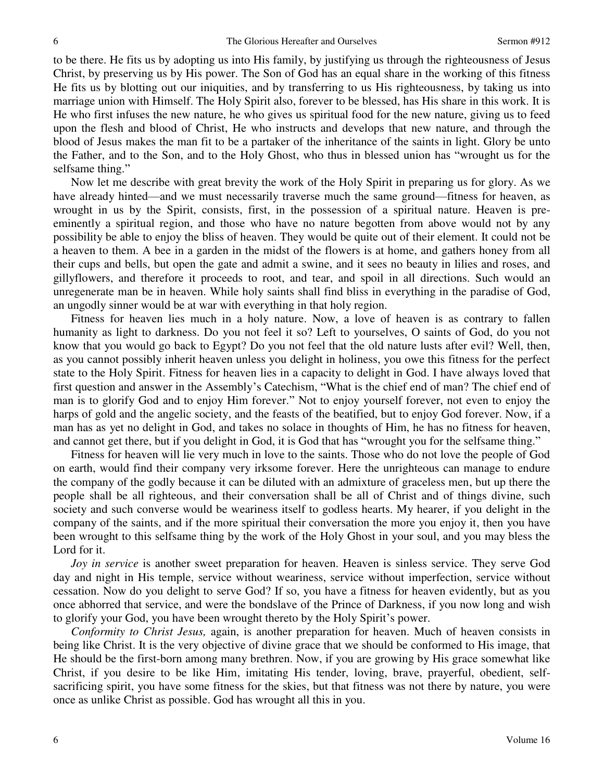to be there. He fits us by adopting us into His family, by justifying us through the righteousness of Jesus Christ, by preserving us by His power. The Son of God has an equal share in the working of this fitness He fits us by blotting out our iniquities, and by transferring to us His righteousness, by taking us into marriage union with Himself. The Holy Spirit also, forever to be blessed, has His share in this work. It is He who first infuses the new nature, he who gives us spiritual food for the new nature, giving us to feed upon the flesh and blood of Christ, He who instructs and develops that new nature, and through the blood of Jesus makes the man fit to be a partaker of the inheritance of the saints in light. Glory be unto the Father, and to the Son, and to the Holy Ghost, who thus in blessed union has "wrought us for the selfsame thing."

Now let me describe with great brevity the work of the Holy Spirit in preparing us for glory. As we have already hinted—and we must necessarily traverse much the same ground—fitness for heaven, as wrought in us by the Spirit, consists, first, in the possession of a spiritual nature. Heaven is preeminently a spiritual region, and those who have no nature begotten from above would not by any possibility be able to enjoy the bliss of heaven. They would be quite out of their element. It could not be a heaven to them. A bee in a garden in the midst of the flowers is at home, and gathers honey from all their cups and bells, but open the gate and admit a swine, and it sees no beauty in lilies and roses, and gillyflowers, and therefore it proceeds to root, and tear, and spoil in all directions. Such would an unregenerate man be in heaven. While holy saints shall find bliss in everything in the paradise of God, an ungodly sinner would be at war with everything in that holy region.

Fitness for heaven lies much in a holy nature. Now, a love of heaven is as contrary to fallen humanity as light to darkness. Do you not feel it so? Left to yourselves, O saints of God, do you not know that you would go back to Egypt? Do you not feel that the old nature lusts after evil? Well, then, as you cannot possibly inherit heaven unless you delight in holiness, you owe this fitness for the perfect state to the Holy Spirit. Fitness for heaven lies in a capacity to delight in God. I have always loved that first question and answer in the Assembly's Catechism, "What is the chief end of man? The chief end of man is to glorify God and to enjoy Him forever." Not to enjoy yourself forever, not even to enjoy the harps of gold and the angelic society, and the feasts of the beatified, but to enjoy God forever. Now, if a man has as yet no delight in God, and takes no solace in thoughts of Him, he has no fitness for heaven, and cannot get there, but if you delight in God, it is God that has "wrought you for the selfsame thing."

Fitness for heaven will lie very much in love to the saints. Those who do not love the people of God on earth, would find their company very irksome forever. Here the unrighteous can manage to endure the company of the godly because it can be diluted with an admixture of graceless men, but up there the people shall be all righteous, and their conversation shall be all of Christ and of things divine, such society and such converse would be weariness itself to godless hearts. My hearer, if you delight in the company of the saints, and if the more spiritual their conversation the more you enjoy it, then you have been wrought to this selfsame thing by the work of the Holy Ghost in your soul, and you may bless the Lord for it.

*Joy in service* is another sweet preparation for heaven. Heaven is sinless service. They serve God day and night in His temple, service without weariness, service without imperfection, service without cessation. Now do you delight to serve God? If so, you have a fitness for heaven evidently, but as you once abhorred that service, and were the bondslave of the Prince of Darkness, if you now long and wish to glorify your God, you have been wrought thereto by the Holy Spirit's power.

*Conformity to Christ Jesus,* again, is another preparation for heaven. Much of heaven consists in being like Christ. It is the very objective of divine grace that we should be conformed to His image, that He should be the first-born among many brethren. Now, if you are growing by His grace somewhat like Christ, if you desire to be like Him, imitating His tender, loving, brave, prayerful, obedient, selfsacrificing spirit, you have some fitness for the skies, but that fitness was not there by nature, you were once as unlike Christ as possible. God has wrought all this in you.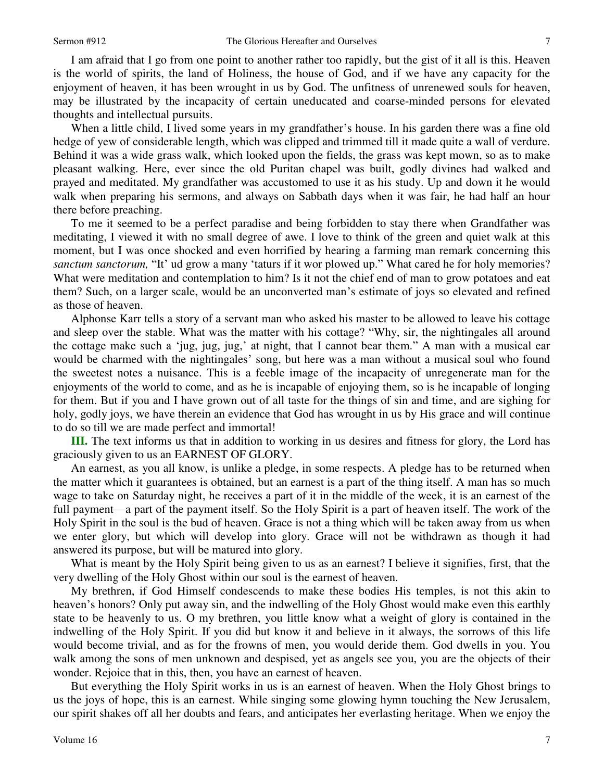7

I am afraid that I go from one point to another rather too rapidly, but the gist of it all is this. Heaven is the world of spirits, the land of Holiness, the house of God, and if we have any capacity for the enjoyment of heaven, it has been wrought in us by God. The unfitness of unrenewed souls for heaven, may be illustrated by the incapacity of certain uneducated and coarse-minded persons for elevated thoughts and intellectual pursuits.

When a little child, I lived some years in my grandfather's house. In his garden there was a fine old hedge of yew of considerable length, which was clipped and trimmed till it made quite a wall of verdure. Behind it was a wide grass walk, which looked upon the fields, the grass was kept mown, so as to make pleasant walking. Here, ever since the old Puritan chapel was built, godly divines had walked and prayed and meditated. My grandfather was accustomed to use it as his study. Up and down it he would walk when preparing his sermons, and always on Sabbath days when it was fair, he had half an hour there before preaching.

To me it seemed to be a perfect paradise and being forbidden to stay there when Grandfather was meditating, I viewed it with no small degree of awe. I love to think of the green and quiet walk at this moment, but I was once shocked and even horrified by hearing a farming man remark concerning this *sanctum sanctorum,* "It' ud grow a many 'taturs if it wor plowed up." What cared he for holy memories? What were meditation and contemplation to him? Is it not the chief end of man to grow potatoes and eat them? Such, on a larger scale, would be an unconverted man's estimate of joys so elevated and refined as those of heaven.

Alphonse Karr tells a story of a servant man who asked his master to be allowed to leave his cottage and sleep over the stable. What was the matter with his cottage? "Why, sir, the nightingales all around the cottage make such a 'jug, jug, jug,' at night, that I cannot bear them." A man with a musical ear would be charmed with the nightingales' song, but here was a man without a musical soul who found the sweetest notes a nuisance. This is a feeble image of the incapacity of unregenerate man for the enjoyments of the world to come, and as he is incapable of enjoying them, so is he incapable of longing for them. But if you and I have grown out of all taste for the things of sin and time, and are sighing for holy, godly joys, we have therein an evidence that God has wrought in us by His grace and will continue to do so till we are made perfect and immortal!

**III.** The text informs us that in addition to working in us desires and fitness for glory, the Lord has graciously given to us an EARNEST OF GLORY.

An earnest, as you all know, is unlike a pledge, in some respects. A pledge has to be returned when the matter which it guarantees is obtained, but an earnest is a part of the thing itself. A man has so much wage to take on Saturday night, he receives a part of it in the middle of the week, it is an earnest of the full payment—a part of the payment itself. So the Holy Spirit is a part of heaven itself. The work of the Holy Spirit in the soul is the bud of heaven. Grace is not a thing which will be taken away from us when we enter glory, but which will develop into glory. Grace will not be withdrawn as though it had answered its purpose, but will be matured into glory.

What is meant by the Holy Spirit being given to us as an earnest? I believe it signifies, first, that the very dwelling of the Holy Ghost within our soul is the earnest of heaven.

My brethren, if God Himself condescends to make these bodies His temples, is not this akin to heaven's honors? Only put away sin, and the indwelling of the Holy Ghost would make even this earthly state to be heavenly to us. O my brethren, you little know what a weight of glory is contained in the indwelling of the Holy Spirit. If you did but know it and believe in it always, the sorrows of this life would become trivial, and as for the frowns of men, you would deride them. God dwells in you. You walk among the sons of men unknown and despised, yet as angels see you, you are the objects of their wonder. Rejoice that in this, then, you have an earnest of heaven.

But everything the Holy Spirit works in us is an earnest of heaven. When the Holy Ghost brings to us the joys of hope, this is an earnest. While singing some glowing hymn touching the New Jerusalem, our spirit shakes off all her doubts and fears, and anticipates her everlasting heritage. When we enjoy the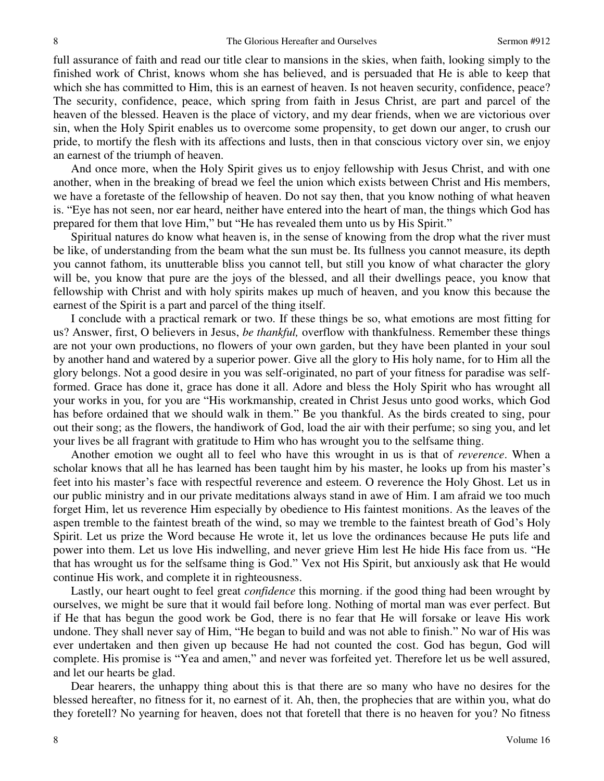full assurance of faith and read our title clear to mansions in the skies, when faith, looking simply to the finished work of Christ, knows whom she has believed, and is persuaded that He is able to keep that which she has committed to Him, this is an earnest of heaven. Is not heaven security, confidence, peace? The security, confidence, peace, which spring from faith in Jesus Christ, are part and parcel of the heaven of the blessed. Heaven is the place of victory, and my dear friends, when we are victorious over sin, when the Holy Spirit enables us to overcome some propensity, to get down our anger, to crush our pride, to mortify the flesh with its affections and lusts, then in that conscious victory over sin, we enjoy an earnest of the triumph of heaven.

And once more, when the Holy Spirit gives us to enjoy fellowship with Jesus Christ, and with one another, when in the breaking of bread we feel the union which exists between Christ and His members, we have a foretaste of the fellowship of heaven. Do not say then, that you know nothing of what heaven is. "Eye has not seen, nor ear heard, neither have entered into the heart of man, the things which God has prepared for them that love Him," but "He has revealed them unto us by His Spirit."

Spiritual natures do know what heaven is, in the sense of knowing from the drop what the river must be like, of understanding from the beam what the sun must be. Its fullness you cannot measure, its depth you cannot fathom, its unutterable bliss you cannot tell, but still you know of what character the glory will be, you know that pure are the joys of the blessed, and all their dwellings peace, you know that fellowship with Christ and with holy spirits makes up much of heaven, and you know this because the earnest of the Spirit is a part and parcel of the thing itself.

I conclude with a practical remark or two. If these things be so, what emotions are most fitting for us? Answer, first, O believers in Jesus, *be thankful,* overflow with thankfulness. Remember these things are not your own productions, no flowers of your own garden, but they have been planted in your soul by another hand and watered by a superior power. Give all the glory to His holy name, for to Him all the glory belongs. Not a good desire in you was self-originated, no part of your fitness for paradise was selfformed. Grace has done it, grace has done it all. Adore and bless the Holy Spirit who has wrought all your works in you, for you are "His workmanship, created in Christ Jesus unto good works, which God has before ordained that we should walk in them." Be you thankful. As the birds created to sing, pour out their song; as the flowers, the handiwork of God, load the air with their perfume; so sing you, and let your lives be all fragrant with gratitude to Him who has wrought you to the selfsame thing.

Another emotion we ought all to feel who have this wrought in us is that of *reverence*. When a scholar knows that all he has learned has been taught him by his master, he looks up from his master's feet into his master's face with respectful reverence and esteem. O reverence the Holy Ghost. Let us in our public ministry and in our private meditations always stand in awe of Him. I am afraid we too much forget Him, let us reverence Him especially by obedience to His faintest monitions. As the leaves of the aspen tremble to the faintest breath of the wind, so may we tremble to the faintest breath of God's Holy Spirit. Let us prize the Word because He wrote it, let us love the ordinances because He puts life and power into them. Let us love His indwelling, and never grieve Him lest He hide His face from us. "He that has wrought us for the selfsame thing is God." Vex not His Spirit, but anxiously ask that He would continue His work, and complete it in righteousness.

Lastly, our heart ought to feel great *confidence* this morning. if the good thing had been wrought by ourselves, we might be sure that it would fail before long. Nothing of mortal man was ever perfect. But if He that has begun the good work be God, there is no fear that He will forsake or leave His work undone. They shall never say of Him, "He began to build and was not able to finish." No war of His was ever undertaken and then given up because He had not counted the cost. God has begun, God will complete. His promise is "Yea and amen," and never was forfeited yet. Therefore let us be well assured, and let our hearts be glad.

Dear hearers, the unhappy thing about this is that there are so many who have no desires for the blessed hereafter, no fitness for it, no earnest of it. Ah, then, the prophecies that are within you, what do they foretell? No yearning for heaven, does not that foretell that there is no heaven for you? No fitness

8